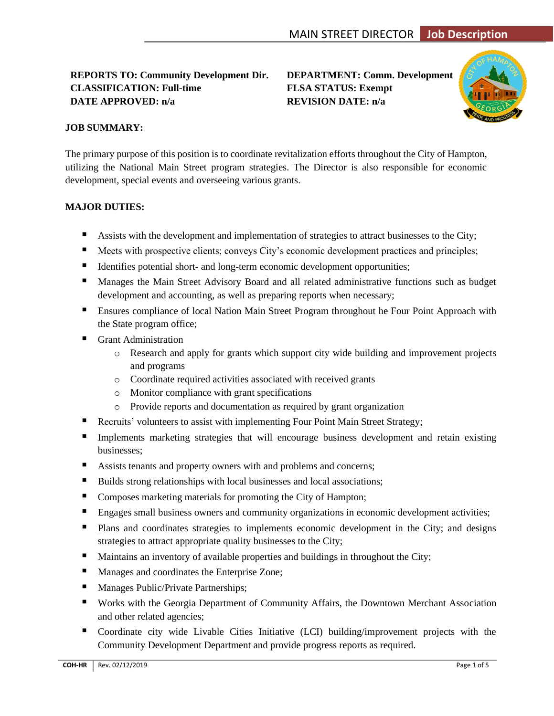## **REPORTS TO: Community Development Dir. DEPARTMENT: Comm. Development CLASSIFICATION: Full-time FLSA STATUS: Exempt DATE APPROVED: n/a REVISION DATE: n/a**



## **JOB SUMMARY:**

The primary purpose of this position is to coordinate revitalization efforts throughout the City of Hampton, utilizing the National Main Street program strategies. The Director is also responsible for economic development, special events and overseeing various grants.

## **MAJOR DUTIES:**

- Assists with the development and implementation of strategies to attract businesses to the City;
- Meets with prospective clients; conveys City's economic development practices and principles;
- Identifies potential short- and long-term economic development opportunities;
- Manages the Main Street Advisory Board and all related administrative functions such as budget development and accounting, as well as preparing reports when necessary;
- Ensures compliance of local Nation Main Street Program throughout he Four Point Approach with the State program office;
- Grant Administration
	- o Research and apply for grants which support city wide building and improvement projects and programs
	- o Coordinate required activities associated with received grants
	- o Monitor compliance with grant specifications
	- o Provide reports and documentation as required by grant organization
- **EXECUTE:** Recruits' volunteers to assist with implementing Four Point Main Street Strategy;
- **Implements marketing strategies that will encourage business development and retain existing** businesses;
- Assists tenants and property owners with and problems and concerns;
- Builds strong relationships with local businesses and local associations;
- Composes marketing materials for promoting the City of Hampton;
- **Engages small business owners and community organizations in economic development activities;**
- Plans and coordinates strategies to implements economic development in the City; and designs strategies to attract appropriate quality businesses to the City;
- Maintains an inventory of available properties and buildings in throughout the City;
- Manages and coordinates the Enterprise Zone;
- Manages Public/Private Partnerships;
- Works with the Georgia Department of Community Affairs, the Downtown Merchant Association and other related agencies;
- Coordinate city wide Livable Cities Initiative (LCI) building/improvement projects with the Community Development Department and provide progress reports as required.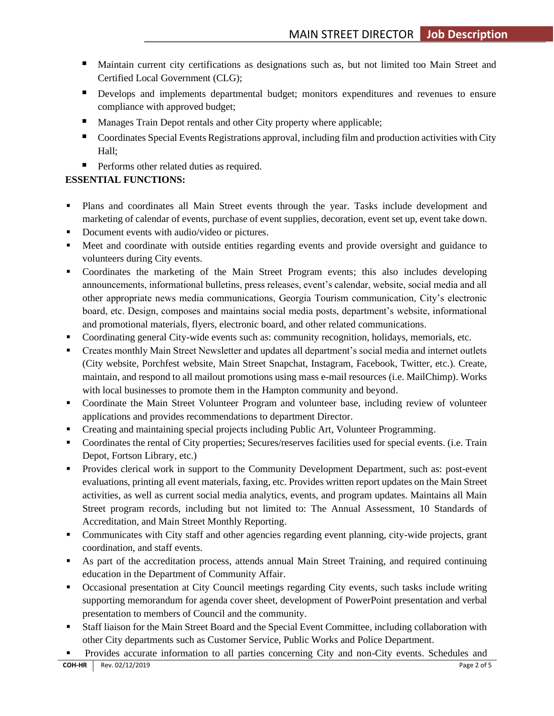- Maintain current city certifications as designations such as, but not limited too Main Street and Certified Local Government (CLG);
- **•** Develops and implements departmental budget; monitors expenditures and revenues to ensure compliance with approved budget;
- Manages Train Depot rentals and other City property where applicable;
- Coordinates Special Events Registrations approval, including film and production activities with City Hall;
- Performs other related duties as required.

# **ESSENTIAL FUNCTIONS:**

- Plans and coordinates all Main Street events through the year. Tasks include development and marketing of calendar of events, purchase of event supplies, decoration, event set up, event take down.
- Document events with audio/video or pictures.
- Meet and coordinate with outside entities regarding events and provide oversight and guidance to volunteers during City events.
- Coordinates the marketing of the Main Street Program events; this also includes developing announcements, informational bulletins, press releases, event's calendar, website, social media and all other appropriate news media communications, Georgia Tourism communication, City's electronic board, etc. Design, composes and maintains social media posts, department's website, informational and promotional materials, flyers, electronic board, and other related communications.
- Coordinating general City-wide events such as: community recognition, holidays, memorials, etc.
- Creates monthly Main Street Newsletter and updates all department's social media and internet outlets (City website, Porchfest website, Main Street Snapchat, Instagram, Facebook, Twitter, etc.). Create, maintain, and respond to all mailout promotions using mass e-mail resources (i.e. MailChimp). Works with local businesses to promote them in the Hampton community and beyond.
- Coordinate the Main Street Volunteer Program and volunteer base, including review of volunteer applications and provides recommendations to department Director.
- **Creating and maintaining special projects including Public Art, Volunteer Programming.**
- Coordinates the rental of City properties; Secures/reserves facilities used for special events. (i.e. Train Depot, Fortson Library, etc.)
- Provides clerical work in support to the Community Development Department, such as: post-event evaluations, printing all event materials, faxing, etc. Provides written report updates on the Main Street activities, as well as current social media analytics, events, and program updates. Maintains all Main Street program records, including but not limited to: The Annual Assessment, 10 Standards of Accreditation, and Main Street Monthly Reporting.
- Communicates with City staff and other agencies regarding event planning, city-wide projects, grant coordination, and staff events.
- As part of the accreditation process, attends annual Main Street Training, and required continuing education in the Department of Community Affair.
- Occasional presentation at City Council meetings regarding City events, such tasks include writing supporting memorandum for agenda cover sheet, development of PowerPoint presentation and verbal presentation to members of Council and the community.
- Staff liaison for the Main Street Board and the Special Event Committee, including collaboration with other City departments such as Customer Service, Public Works and Police Department.
- Provides accurate information to all parties concerning City and non-City events. Schedules and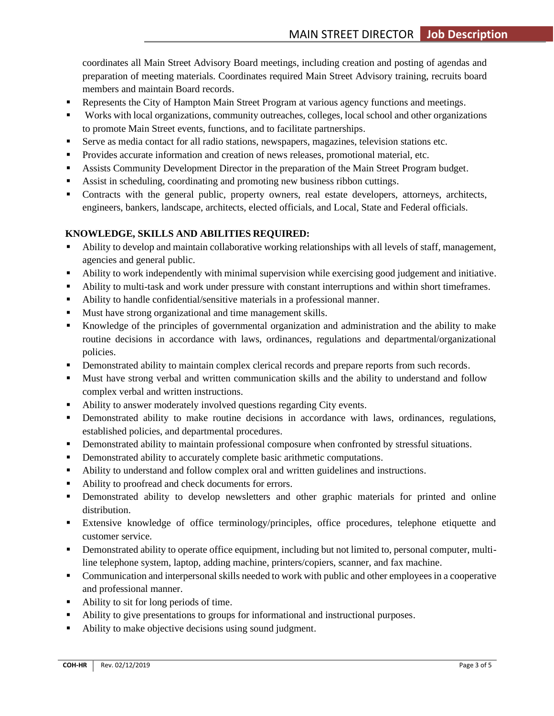coordinates all Main Street Advisory Board meetings, including creation and posting of agendas and preparation of meeting materials. Coordinates required Main Street Advisory training, recruits board members and maintain Board records.

- **Represents the City of Hampton Main Street Program at various agency functions and meetings.**
- Works with local organizations, community outreaches, colleges, local school and other organizations to promote Main Street events, functions, and to facilitate partnerships.
- Serve as media contact for all radio stations, newspapers, magazines, television stations etc.
- Provides accurate information and creation of news releases, promotional material, etc.
- **Assists Community Development Director in the preparation of the Main Street Program budget.**
- Assist in scheduling, coordinating and promoting new business ribbon cuttings.
- Contracts with the general public, property owners, real estate developers, attorneys, architects, engineers, bankers, landscape, architects, elected officials, and Local, State and Federal officials.

## **KNOWLEDGE, SKILLS AND ABILITIES REQUIRED:**

- Ability to develop and maintain collaborative working relationships with all levels of staff, management, agencies and general public.
- Ability to work independently with minimal supervision while exercising good judgement and initiative.
- Ability to multi-task and work under pressure with constant interruptions and within short timeframes.
- Ability to handle confidential/sensitive materials in a professional manner.
- Must have strong organizational and time management skills.
- Knowledge of the principles of governmental organization and administration and the ability to make routine decisions in accordance with laws, ordinances, regulations and departmental/organizational policies.
- **Demonstrated ability to maintain complex clerical records and prepare reports from such records.**
- Must have strong verbal and written communication skills and the ability to understand and follow complex verbal and written instructions.
- Ability to answer moderately involved questions regarding City events.
- **•** Demonstrated ability to make routine decisions in accordance with laws, ordinances, regulations, established policies, and departmental procedures.
- **•** Demonstrated ability to maintain professional composure when confronted by stressful situations.
- **•** Demonstrated ability to accurately complete basic arithmetic computations.
- Ability to understand and follow complex oral and written guidelines and instructions.
- Ability to proofread and check documents for errors.
- **•** Demonstrated ability to develop newsletters and other graphic materials for printed and online distribution.
- Extensive knowledge of office terminology/principles, office procedures, telephone etiquette and customer service.
- Demonstrated ability to operate office equipment, including but not limited to, personal computer, multiline telephone system, laptop, adding machine, printers/copiers, scanner, and fax machine.
- **•** Communication and interpersonal skills needed to work with public and other employees in a cooperative and professional manner.
- Ability to sit for long periods of time.
- **•** Ability to give presentations to groups for informational and instructional purposes.
- Ability to make objective decisions using sound judgment.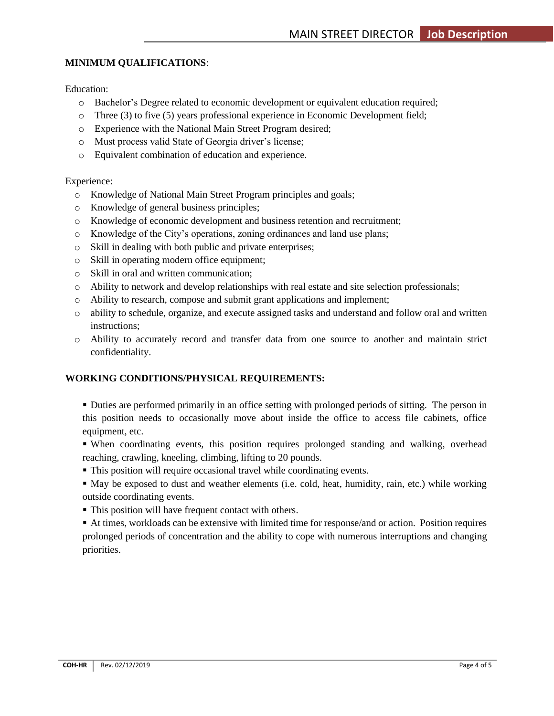## **MINIMUM QUALIFICATIONS**:

Education:

- o Bachelor's Degree related to economic development or equivalent education required;
- o Three (3) to five (5) years professional experience in Economic Development field;
- o Experience with the National Main Street Program desired;
- o Must process valid State of Georgia driver's license;
- o Equivalent combination of education and experience.

#### Experience:

- o Knowledge of National Main Street Program principles and goals;
- o Knowledge of general business principles;
- o Knowledge of economic development and business retention and recruitment;
- o Knowledge of the City's operations, zoning ordinances and land use plans;
- o Skill in dealing with both public and private enterprises;
- o Skill in operating modern office equipment;
- o Skill in oral and written communication;
- o Ability to network and develop relationships with real estate and site selection professionals;
- o Ability to research, compose and submit grant applications and implement;
- o ability to schedule, organize, and execute assigned tasks and understand and follow oral and written instructions;
- o Ability to accurately record and transfer data from one source to another and maintain strict confidentiality.

### **WORKING CONDITIONS/PHYSICAL REQUIREMENTS:**

▪ Duties are performed primarily in an office setting with prolonged periods of sitting. The person in this position needs to occasionally move about inside the office to access file cabinets, office equipment, etc.

- When coordinating events, this position requires prolonged standing and walking, overhead reaching, crawling, kneeling, climbing, lifting to 20 pounds.
- This position will require occasional travel while coordinating events.
- May be exposed to dust and weather elements (i.e. cold, heat, humidity, rain, etc.) while working outside coordinating events.
- This position will have frequent contact with others.

▪ At times, workloads can be extensive with limited time for response/and or action. Position requires prolonged periods of concentration and the ability to cope with numerous interruptions and changing priorities.